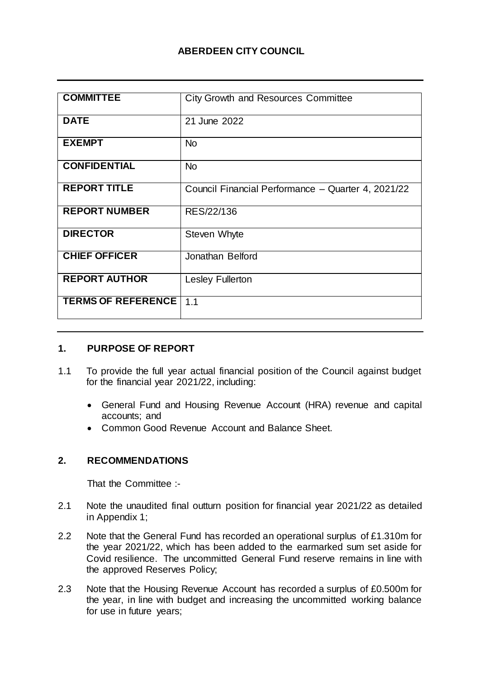## **ABERDEEN CITY COUNCIL**

| <b>COMMITTEE</b>          | <b>City Growth and Resources Committee</b>         |
|---------------------------|----------------------------------------------------|
|                           |                                                    |
| <b>DATE</b>               | 21 June 2022                                       |
|                           |                                                    |
| <b>EXEMPT</b>             | <b>No</b>                                          |
| <b>CONFIDENTIAL</b>       | <b>No</b>                                          |
|                           |                                                    |
| <b>REPORT TITLE</b>       | Council Financial Performance - Quarter 4, 2021/22 |
|                           |                                                    |
| <b>REPORT NUMBER</b>      | RES/22/136                                         |
|                           |                                                    |
| <b>DIRECTOR</b>           | Steven Whyte                                       |
| <b>CHIEF OFFICER</b>      | Jonathan Belford                                   |
|                           |                                                    |
| <b>REPORT AUTHOR</b>      | <b>Lesley Fullerton</b>                            |
|                           |                                                    |
| <b>TERMS OF REFERENCE</b> | 1.1                                                |
|                           |                                                    |

#### **1. PURPOSE OF REPORT**

- 1.1 To provide the full year actual financial position of the Council against budget for the financial year 2021/22, including:
	- General Fund and Housing Revenue Account (HRA) revenue and capital accounts; and
	- Common Good Revenue Account and Balance Sheet.

#### **2. RECOMMENDATIONS**

That the Committee :-

- 2.1 Note the unaudited final outturn position for financial year 2021/22 as detailed in Appendix 1;
- 2.2 Note that the General Fund has recorded an operational surplus of £1.310m for the year 2021/22, which has been added to the earmarked sum set aside for Covid resilience. The uncommitted General Fund reserve remains in line with the approved Reserves Policy;
- 2.3 Note that the Housing Revenue Account has recorded a surplus of £0.500m for the year, in line with budget and increasing the uncommitted working balance for use in future years;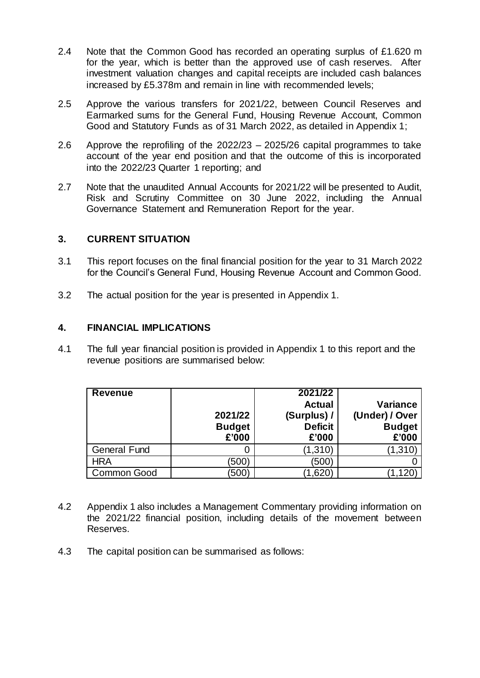- 2.4 Note that the Common Good has recorded an operating surplus of £1.620 m for the year, which is better than the approved use of cash reserves. After investment valuation changes and capital receipts are included cash balances increased by £5.378m and remain in line with recommended levels;
- 2.5 Approve the various transfers for 2021/22, between Council Reserves and Earmarked sums for the General Fund, Housing Revenue Account, Common Good and Statutory Funds as of 31 March 2022, as detailed in Appendix 1;
- 2.6 Approve the reprofiling of the 2022/23 2025/26 capital programmes to take account of the year end position and that the outcome of this is incorporated into the 2022/23 Quarter 1 reporting; and
- 2.7 Note that the unaudited Annual Accounts for 2021/22 will be presented to Audit, Risk and Scrutiny Committee on 30 June 2022, including the Annual Governance Statement and Remuneration Report for the year.

### **3. CURRENT SITUATION**

- 3.1 This report focuses on the final financial position for the year to 31 March 2022 for the Council's General Fund, Housing Revenue Account and Common Good.
- 3.2 The actual position for the year is presented in Appendix 1.

#### **4. FINANCIAL IMPLICATIONS**

4.1 The full year financial position is provided in Appendix 1 to this report and the revenue positions are summarised below:

| <b>Revenue</b>      |               | 2021/22        |                 |
|---------------------|---------------|----------------|-----------------|
|                     |               | <b>Actual</b>  | <b>Variance</b> |
|                     | 2021/22       | (Surplus) /    | (Under) / Over  |
|                     | <b>Budget</b> | <b>Deficit</b> | <b>Budget</b>   |
|                     | £'000         | £'000          | £'000           |
| <b>General Fund</b> |               | (1,310)        | (1,310)         |
| <b>HRA</b>          | (500)         | (500)          |                 |
| <b>Common Good</b>  | 500)          | 1,620          |                 |

- 4.2 Appendix 1 also includes a Management Commentary providing information on the 2021/22 financial position, including details of the movement between Reserves.
- 4.3 The capital position can be summarised as follows: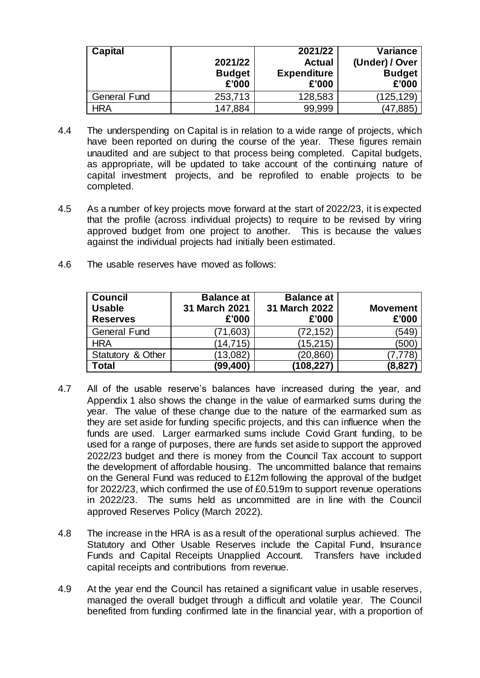| Capital             |               | 2021/22            | <b>Variance</b> |
|---------------------|---------------|--------------------|-----------------|
|                     | 2021/22       | <b>Actual</b>      | (Under) / Over  |
|                     | <b>Budget</b> | <b>Expenditure</b> | <b>Budget</b>   |
|                     | £'000         | £'000              | £'000           |
| <b>General Fund</b> | 253,713       | 128,583            | (125,129)       |
| HRA                 | 147,884       | 99,999             | (47,885)        |

- 4.4 The underspending on Capital is in relation to a wide range of projects, which have been reported on during the course of the year. These figures remain unaudited and are subject to that process being completed. Capital budgets, as appropriate, will be updated to take account of the continuing nature of capital investment projects, and be reprofiled to enable projects to be completed.
- 4.5 As a number of key projects move forward at the start of 2022/23, it is expected that the profile (across individual projects) to require to be revised by viring approved budget from one project to another. This is because the values against the individual projects had initially been estimated.
- 4.6 The usable reserves have moved as follows:

| <b>Council</b><br><b>Usable</b><br><b>Reserves</b> | <b>Balance at</b><br>31 March 2021<br>£'000 | <b>Balance at</b><br>31 March 2022<br>£'000 | <b>Movement</b><br>£'000 |
|----------------------------------------------------|---------------------------------------------|---------------------------------------------|--------------------------|
| <b>General Fund</b>                                | (71,603)                                    | (72, 152)                                   | (549)                    |
| <b>HRA</b>                                         | (14,715)                                    | (15, 215)                                   | (500)                    |
| Statutory & Other                                  | (13,082)                                    | (20,860)                                    | 7.778                    |
| Total                                              | (99, 400)                                   | (108,227)                                   | (8,827)                  |

- 4.7 All of the usable reserve's balances have increased during the year, and Appendix 1 also shows the change in the value of earmarked sums during the year. The value of these change due to the nature of the earmarked sum as they are set aside for funding specific projects, and this can influence when the funds are used. Larger earmarked sums include Covid Grant funding, to be used for a range of purposes, there are funds set aside to support the approved 2022/23 budget and there is money from the Council Tax account to support the development of affordable housing. The uncommitted balance that remains on the General Fund was reduced to £12m following the approval of the budget for 2022/23, which confirmed the use of £0.519m to support revenue operations in 2022/23. The sums held as uncommitted are in line with the Council approved Reserves Policy (March 2022).
- 4.8 The increase in the HRA is as a result of the operational surplus achieved. The Statutory and Other Usable Reserves include the Capital Fund, Insurance Funds and Capital Receipts Unapplied Account. Transfers have included capital receipts and contributions from revenue.
- 4.9 At the year end the Council has retained a significant value in usable reserves, managed the overall budget through a difficult and volatile year. The Council benefited from funding confirmed late in the financial year, with a proportion of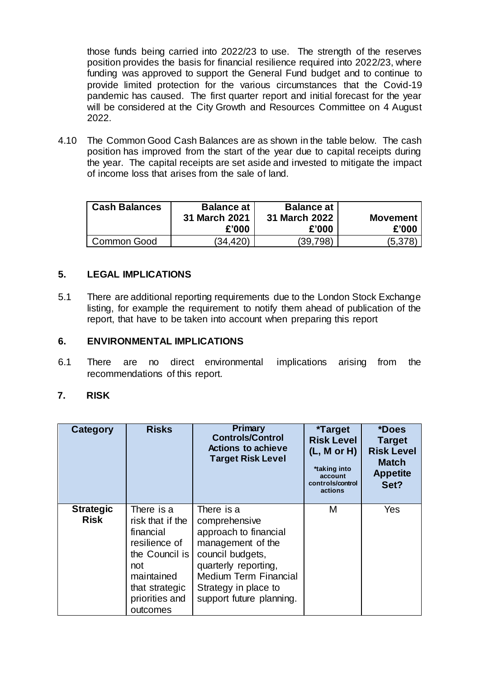those funds being carried into 2022/23 to use. The strength of the reserves position provides the basis for financial resilience required into 2022/23, where funding was approved to support the General Fund budget and to continue to provide limited protection for the various circumstances that the Covid-19 pandemic has caused. The first quarter report and initial forecast for the year will be considered at the City Growth and Resources Committee on 4 August 2022.

4.10 The Common Good Cash Balances are as shown in the table below. The cash position has improved from the start of the year due to capital receipts during the year. The capital receipts are set aside and invested to mitigate the impact of income loss that arises from the sale of land.

| <b>Cash Balances</b> | <b>Balance at '</b><br>31 March 2021<br>£'000 | <b>Balance at</b><br>31 March 2022<br>£'000 | <b>Movement</b><br>£'000 |
|----------------------|-----------------------------------------------|---------------------------------------------|--------------------------|
| Common Good          | (34.420)                                      | (39,798)                                    | (5,378)                  |

## **5. LEGAL IMPLICATIONS**

5.1 There are additional reporting requirements due to the London Stock Exchange listing, for example the requirement to notify them ahead of publication of the report, that have to be taken into account when preparing this report

### **6. ENVIRONMENTAL IMPLICATIONS**

6.1 There are no direct environmental implications arising from the recommendations of this report.

#### **7. RISK**

| Category                        | <b>Risks</b>                                                                                                                                        | Primary<br><b>Controls/Control</b><br><b>Actions to achieve</b><br><b>Target Risk Level</b>                                                                                                               | <i><b>*Target</b></i><br><b>Risk Level</b><br>(L, M or H)<br>*taking into<br>account<br>controls/control<br>actions | *Does<br><b>Target</b><br><b>Risk Level</b><br><b>Match</b><br><b>Appetite</b><br>Set? |
|---------------------------------|-----------------------------------------------------------------------------------------------------------------------------------------------------|-----------------------------------------------------------------------------------------------------------------------------------------------------------------------------------------------------------|---------------------------------------------------------------------------------------------------------------------|----------------------------------------------------------------------------------------|
| <b>Strategic</b><br><b>Risk</b> | There is a<br>risk that if the<br>financial<br>resilience of<br>the Council is<br>not<br>maintained<br>that strategic<br>priorities and<br>outcomes | There is a<br>comprehensive<br>approach to financial<br>management of the<br>council budgets,<br>quarterly reporting,<br><b>Medium Term Financial</b><br>Strategy in place to<br>support future planning. | М                                                                                                                   | <b>Yes</b>                                                                             |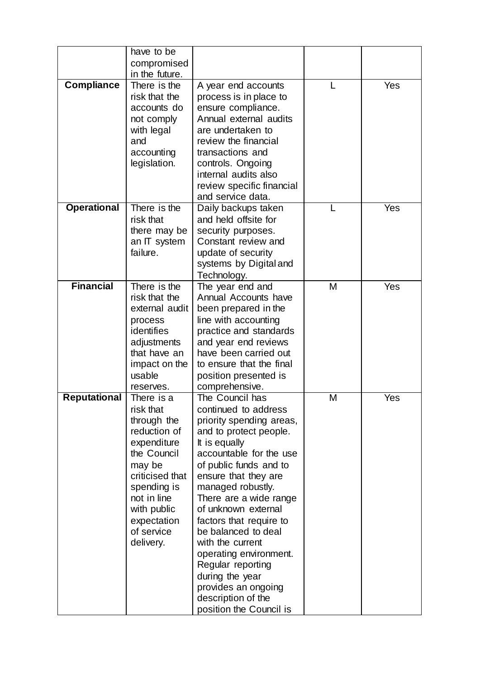|                     | have to be                |                                                |   |     |
|---------------------|---------------------------|------------------------------------------------|---|-----|
|                     | compromised               |                                                |   |     |
|                     | in the future.            |                                                |   |     |
| <b>Compliance</b>   | There is the              | A year end accounts                            | L | Yes |
|                     | risk that the             | process is in place to                         |   |     |
|                     | accounts do               | ensure compliance.                             |   |     |
|                     | not comply                | Annual external audits                         |   |     |
|                     | with legal                | are undertaken to                              |   |     |
|                     | and                       | review the financial                           |   |     |
|                     | accounting                | transactions and                               |   |     |
|                     | legislation.              | controls. Ongoing                              |   |     |
|                     |                           | internal audits also                           |   |     |
|                     |                           | review specific financial                      |   |     |
|                     |                           | and service data.                              |   |     |
| <b>Operational</b>  | There is the              | Daily backups taken                            |   | Yes |
|                     | risk that                 | and held offsite for                           |   |     |
|                     | there may be              | security purposes.<br>Constant review and      |   |     |
|                     | an IT system<br>failure.  | update of security                             |   |     |
|                     |                           | systems by Digital and                         |   |     |
|                     |                           | Technology.                                    |   |     |
| <b>Financial</b>    | There is the              | The year end and                               | M | Yes |
|                     | risk that the             | Annual Accounts have                           |   |     |
|                     | external audit            | been prepared in the                           |   |     |
|                     | process                   | line with accounting                           |   |     |
|                     | identifies                | practice and standards                         |   |     |
|                     | adjustments               | and year end reviews                           |   |     |
|                     | that have an              | have been carried out                          |   |     |
|                     | impact on the             | to ensure that the final                       |   |     |
|                     | usable                    | position presented is                          |   |     |
|                     | reserves.                 | comprehensive.                                 |   |     |
| <b>Reputational</b> | There is a                | The Council has                                | M | Yes |
|                     | risk that                 | continued to address                           |   |     |
|                     | through the               | priority spending areas,                       |   |     |
|                     | reduction of              | and to protect people.                         |   |     |
|                     | expenditure               | It is equally                                  |   |     |
|                     | the Council               | accountable for the use                        |   |     |
|                     | may be<br>criticised that | of public funds and to<br>ensure that they are |   |     |
|                     | spending is               | managed robustly.                              |   |     |
|                     | not in line               | There are a wide range                         |   |     |
|                     | with public               | of unknown external                            |   |     |
|                     | expectation               | factors that require to                        |   |     |
|                     | of service                | be balanced to deal                            |   |     |
|                     | delivery.                 | with the current                               |   |     |
|                     |                           | operating environment.                         |   |     |
|                     |                           | Regular reporting                              |   |     |
|                     |                           | during the year                                |   |     |
|                     |                           | provides an ongoing                            |   |     |
|                     |                           | description of the                             |   |     |
|                     |                           | position the Council is                        |   |     |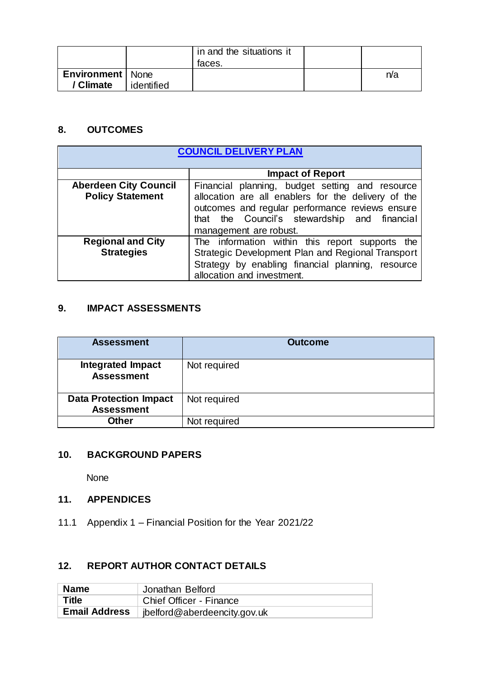|                                        |            | in and the situations it<br>taces. |     |
|----------------------------------------|------------|------------------------------------|-----|
| <b>Environment</b>   None<br>/ Climate | identified |                                    | n/a |

### **8. OUTCOMES**

| <b>COUNCIL DELIVERY PLAN</b> |                                                     |  |  |
|------------------------------|-----------------------------------------------------|--|--|
|                              |                                                     |  |  |
|                              | <b>Impact of Report</b>                             |  |  |
| <b>Aberdeen City Council</b> | Financial planning, budget setting and resource     |  |  |
| <b>Policy Statement</b>      | allocation are all enablers for the delivery of the |  |  |
|                              | outcomes and regular performance reviews ensure     |  |  |
|                              | that the Council's stewardship and financial        |  |  |
|                              | management are robust.                              |  |  |
| <b>Regional and City</b>     | The information within this report supports the     |  |  |
| <b>Strategies</b>            | Strategic Development Plan and Regional Transport   |  |  |
|                              | Strategy by enabling financial planning, resource   |  |  |
|                              | allocation and investment.                          |  |  |

# **9. IMPACT ASSESSMENTS**

| <b>Assessment</b>                                  | <b>Outcome</b> |
|----------------------------------------------------|----------------|
| <b>Integrated Impact</b><br><b>Assessment</b>      | Not required   |
| <b>Data Protection Impact</b><br><b>Assessment</b> | Not required   |
| <b>Other</b>                                       | Not required   |

## **10. BACKGROUND PAPERS**

None

# **11. APPENDICES**

11.1 Appendix 1 – Financial Position for the Year 2021/22

## **12. REPORT AUTHOR CONTACT DETAILS**

| <b>Name</b>          | Jonathan Belford                     |
|----------------------|--------------------------------------|
| <b>Title</b>         | Chief Officer - Finance              |
| <b>Email Address</b> | $\vert$ jbelford@aberdeencity.gov.uk |